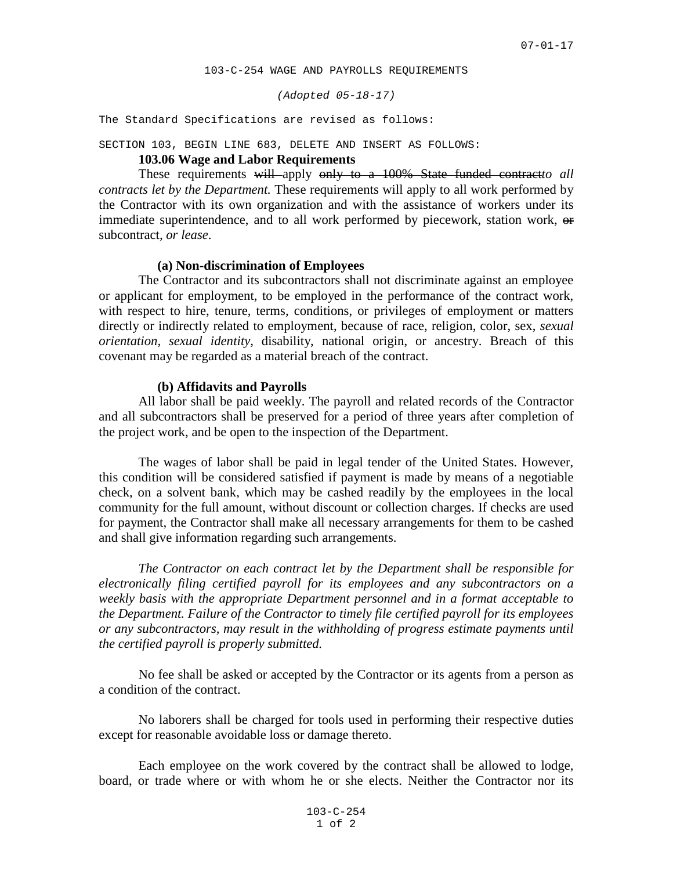*(Adopted 05-18-17)*

The Standard Specifications are revised as follows:

## SECTION 103, BEGIN LINE 683, DELETE AND INSERT AS FOLLOWS:

# **103.06 Wage and Labor Requirements**

These requirements will apply only to a 100% State funded contract*to all contracts let by the Department.* These requirements will apply to all work performed by the Contractor with its own organization and with the assistance of workers under its immediate superintendence, and to all work performed by piecework, station work, or subcontract*, or lease*.

### **(a) Non-discrimination of Employees**

The Contractor and its subcontractors shall not discriminate against an employee or applicant for employment, to be employed in the performance of the contract work, with respect to hire, tenure, terms, conditions, or privileges of employment or matters directly or indirectly related to employment, because of race, religion, color, sex, *sexual orientation, sexual identity,* disability, national origin, or ancestry. Breach of this covenant may be regarded as a material breach of the contract.

#### **(b) Affidavits and Payrolls**

All labor shall be paid weekly. The payroll and related records of the Contractor and all subcontractors shall be preserved for a period of three years after completion of the project work, and be open to the inspection of the Department.

The wages of labor shall be paid in legal tender of the United States. However, this condition will be considered satisfied if payment is made by means of a negotiable check, on a solvent bank, which may be cashed readily by the employees in the local community for the full amount, without discount or collection charges. If checks are used for payment, the Contractor shall make all necessary arrangements for them to be cashed and shall give information regarding such arrangements.

*The Contractor on each contract let by the Department shall be responsible for electronically filing certified payroll for its employees and any subcontractors on a weekly basis with the appropriate Department personnel and in a format acceptable to the Department. Failure of the Contractor to timely file certified payroll for its employees or any subcontractors, may result in the withholding of progress estimate payments until the certified payroll is properly submitted.*

No fee shall be asked or accepted by the Contractor or its agents from a person as a condition of the contract.

No laborers shall be charged for tools used in performing their respective duties except for reasonable avoidable loss or damage thereto.

Each employee on the work covered by the contract shall be allowed to lodge, board, or trade where or with whom he or she elects. Neither the Contractor nor its